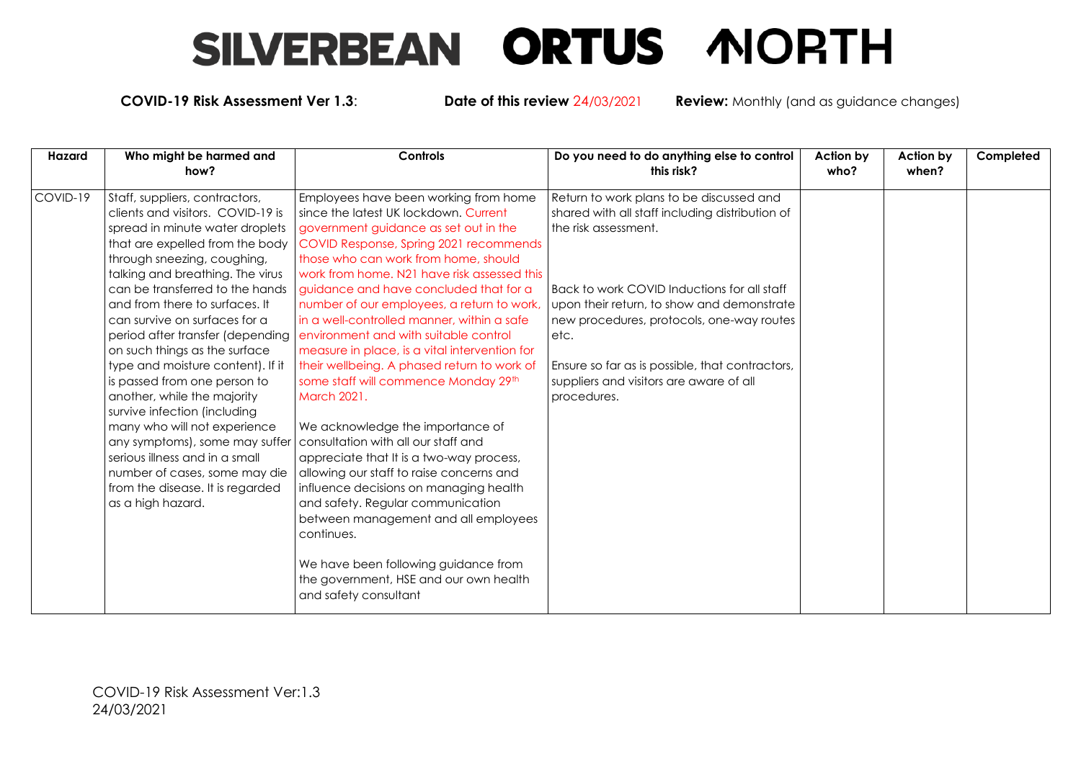## SILVERBEAN ORTUS MORTH

**COVID-19 Risk Assessment Ver 1.3**: **Date of this review** 24/03/2021 **Review:** Monthly (and as guidance changes)

| Hazard   | Who might be harmed and<br>how?                                                                                                                                                                                                                                                                                                                                                                                                                                                                                                                                                                                                                                                                                             | Controls                                                                                                                                                                                                                                                                                                                                                                                                                                                                                                                                                                                                                                                                                                                                                                                                                                                                                                                                                                                 | Do you need to do anything else to control<br>this risk?                                                                                                                                                                                                                                                                                                                           | Action by<br>who? | <b>Action by</b><br>when? | Completed |
|----------|-----------------------------------------------------------------------------------------------------------------------------------------------------------------------------------------------------------------------------------------------------------------------------------------------------------------------------------------------------------------------------------------------------------------------------------------------------------------------------------------------------------------------------------------------------------------------------------------------------------------------------------------------------------------------------------------------------------------------------|------------------------------------------------------------------------------------------------------------------------------------------------------------------------------------------------------------------------------------------------------------------------------------------------------------------------------------------------------------------------------------------------------------------------------------------------------------------------------------------------------------------------------------------------------------------------------------------------------------------------------------------------------------------------------------------------------------------------------------------------------------------------------------------------------------------------------------------------------------------------------------------------------------------------------------------------------------------------------------------|------------------------------------------------------------------------------------------------------------------------------------------------------------------------------------------------------------------------------------------------------------------------------------------------------------------------------------------------------------------------------------|-------------------|---------------------------|-----------|
| COVID-19 | Staff, suppliers, contractors,<br>clients and visitors. COVID-19 is<br>spread in minute water droplets<br>that are expelled from the body<br>through sneezing, coughing,<br>talking and breathing. The virus<br>can be transferred to the hands<br>and from there to surfaces. It<br>can survive on surfaces for a<br>period after transfer (depending<br>on such things as the surface<br>type and moisture content). If it<br>is passed from one person to<br>another, while the majority<br>survive infection (including<br>many who will not experience<br>any symptoms), some may suffer<br>l serious illness and in a small<br>number of cases, some may die<br>from the disease. It is regarded<br>as a high hazard. | Employees have been working from home<br>since the latest UK lockdown. Current<br>government guidance as set out in the<br>COVID Response, Spring 2021 recommends<br>those who can work from home, should<br>work from home. N21 have risk assessed this<br>guidance and have concluded that for a<br>number of our employees, a return to work,<br>in a well-controlled manner, within a safe<br>environment and with suitable control<br>measure in place, is a vital intervention for<br>their wellbeing. A phased return to work of<br>some staff will commence Monday 29th<br>March 2021.<br>We acknowledge the importance of<br>consultation with all our staff and<br>appreciate that It is a two-way process,<br>allowing our staff to raise concerns and<br>influence decisions on managing health<br>and safety. Regular communication<br>between management and all employees<br>continues.<br>We have been following guidance from<br>the government, HSE and our own health | Return to work plans to be discussed and<br>shared with all staff including distribution of<br>the risk assessment.<br>Back to work COVID Inductions for all staff<br>upon their return, to show and demonstrate<br>new procedures, protocols, one-way routes<br>etc.<br>Ensure so far as is possible, that contractors,<br>suppliers and visitors are aware of all<br>procedures. |                   |                           |           |
|          |                                                                                                                                                                                                                                                                                                                                                                                                                                                                                                                                                                                                                                                                                                                             | and safety consultant                                                                                                                                                                                                                                                                                                                                                                                                                                                                                                                                                                                                                                                                                                                                                                                                                                                                                                                                                                    |                                                                                                                                                                                                                                                                                                                                                                                    |                   |                           |           |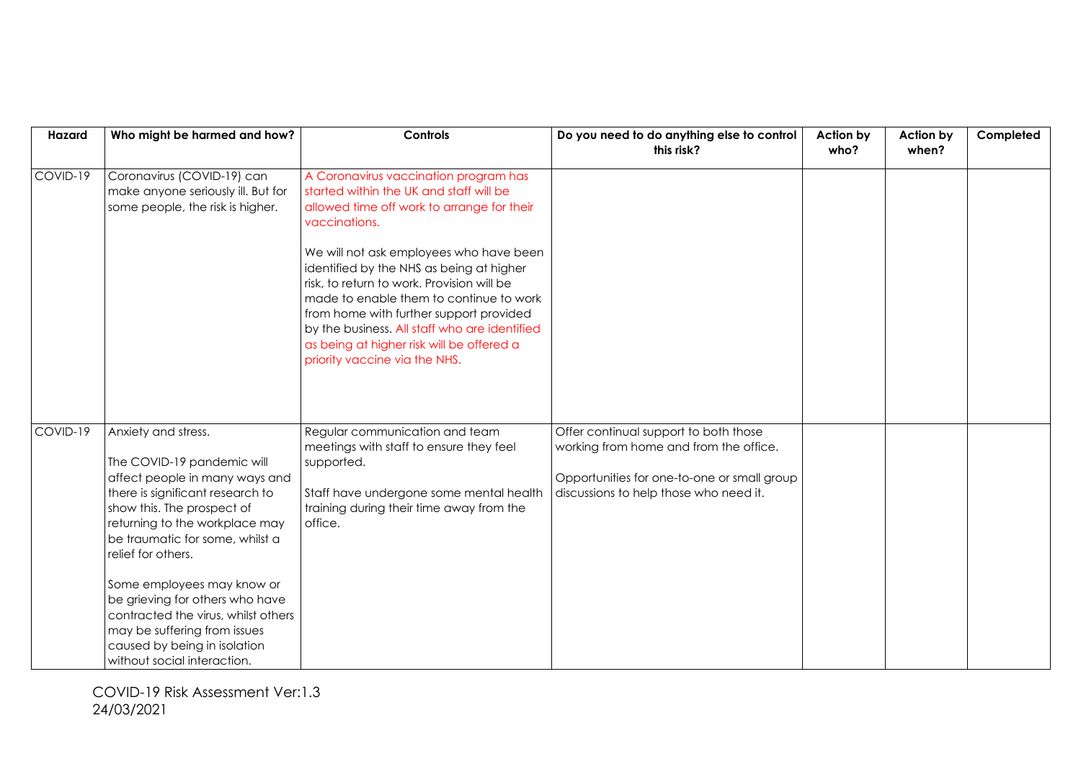| Hazard   | Who might be harmed and how?                                                                                                                                                                                                                                                                                                                                                                                                                            | Controls                                                                                                                                                                                                                                                                                                                                                                                                                                                                                                  | Do you need to do anything else to control                                                                                                                               | Action by | Action by | Completed |
|----------|---------------------------------------------------------------------------------------------------------------------------------------------------------------------------------------------------------------------------------------------------------------------------------------------------------------------------------------------------------------------------------------------------------------------------------------------------------|-----------------------------------------------------------------------------------------------------------------------------------------------------------------------------------------------------------------------------------------------------------------------------------------------------------------------------------------------------------------------------------------------------------------------------------------------------------------------------------------------------------|--------------------------------------------------------------------------------------------------------------------------------------------------------------------------|-----------|-----------|-----------|
|          |                                                                                                                                                                                                                                                                                                                                                                                                                                                         |                                                                                                                                                                                                                                                                                                                                                                                                                                                                                                           | this risk?                                                                                                                                                               | who?      | when?     |           |
| COVID-19 | Coronavirus (COVID-19) can<br>make anyone seriously ill. But for<br>some people, the risk is higher.                                                                                                                                                                                                                                                                                                                                                    | A Coronavirus vaccination program has<br>started within the UK and staff will be<br>allowed time off work to arrange for their<br>vaccinations.<br>We will not ask employees who have been<br>identified by the NHS as being at higher<br>risk, to return to work. Provision will be<br>made to enable them to continue to work<br>from home with further support provided<br>by the business. All staff who are identified<br>as being at higher risk will be offered a<br>priority vaccine via the NHS. |                                                                                                                                                                          |           |           |           |
| COVID-19 | Anxiety and stress.<br>The COVID-19 pandemic will<br>affect people in many ways and<br>there is significant research to<br>show this. The prospect of<br>returning to the workplace may<br>be traumatic for some, whilst a<br>relief for others.<br>Some employees may know or<br>be grieving for others who have<br>contracted the virus, whilst others<br>may be suffering from issues<br>caused by being in isolation<br>without social interaction. | Regular communication and team<br>meetings with staff to ensure they feel<br>supported.<br>Staff have undergone some mental health<br>training during their time away from the<br>office.                                                                                                                                                                                                                                                                                                                 | Offer continual support to both those<br>working from home and from the office.<br>Opportunities for one-to-one or small group<br>discussions to help those who need it. |           |           |           |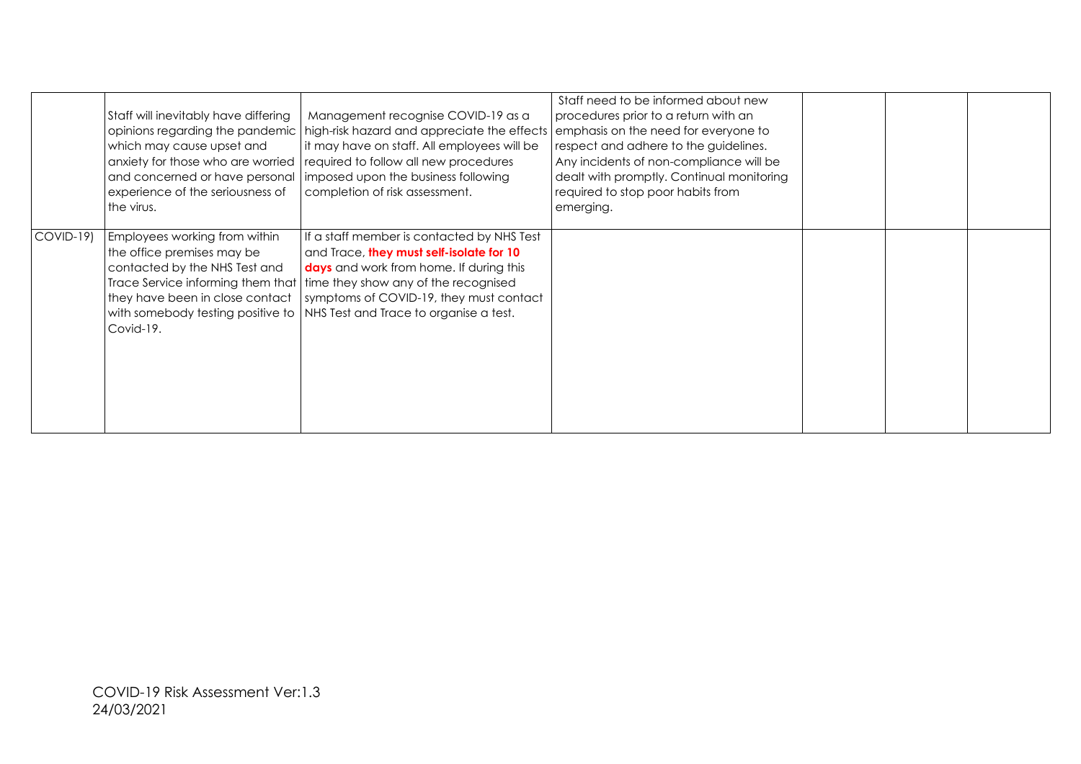|           | Staff will inevitably have differing<br>which may cause upset and<br>experience of the seriousness of<br>the virus.                          | Management recognise COVID-19 as a<br>opinions regarding the pandemic   high-risk hazard and appreciate the effects<br>it may have on staff. All employees will be<br>anxiety for those who are worried   required to follow all new procedures<br>and concerned or have personal   imposed upon the business following<br>completion of risk assessment. | Staff need to be informed about new<br>procedures prior to a return with an<br>emphasis on the need for everyone to<br>respect and adhere to the guidelines.<br>Any incidents of non-compliance will be<br>dealt with promptly. Continual monitoring<br>required to stop poor habits from<br>emerging. |  |  |
|-----------|----------------------------------------------------------------------------------------------------------------------------------------------|-----------------------------------------------------------------------------------------------------------------------------------------------------------------------------------------------------------------------------------------------------------------------------------------------------------------------------------------------------------|--------------------------------------------------------------------------------------------------------------------------------------------------------------------------------------------------------------------------------------------------------------------------------------------------------|--|--|
| COVID-19) | Employees working from within<br>the office premises may be<br>contacted by the NHS Test and<br>they have been in close contact<br>Covid-19. | If a staff member is contacted by NHS Test<br>and Trace, they must self-isolate for 10<br>days and work from home. If during this<br>Trace Service informing them that   time they show any of the recognised<br>symptoms of COVID-19, they must contact<br>with somebody testing positive to NHS Test and Trace to organise a test.                      |                                                                                                                                                                                                                                                                                                        |  |  |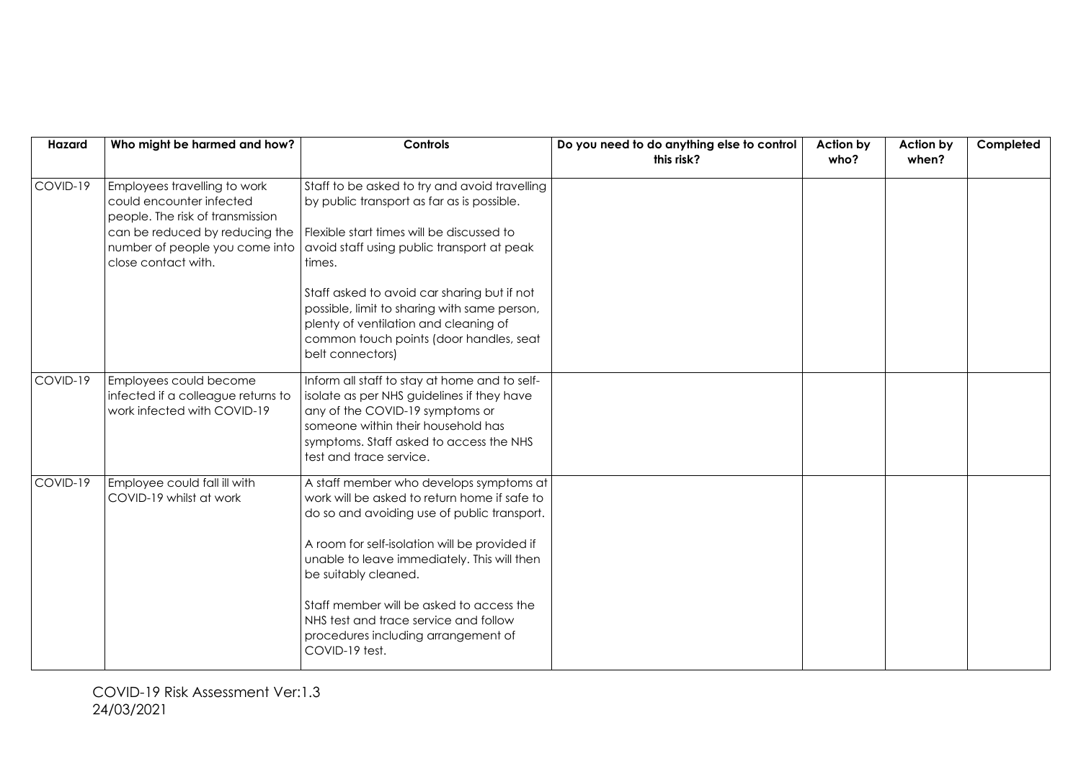| Hazard   | Who might be harmed and how?                                                                                                                                                            | Controls                                                                                                                                                                                                                                                                                                                                                                                                     | Do you need to do anything else to control | Action by | Action by | Completed |
|----------|-----------------------------------------------------------------------------------------------------------------------------------------------------------------------------------------|--------------------------------------------------------------------------------------------------------------------------------------------------------------------------------------------------------------------------------------------------------------------------------------------------------------------------------------------------------------------------------------------------------------|--------------------------------------------|-----------|-----------|-----------|
|          |                                                                                                                                                                                         |                                                                                                                                                                                                                                                                                                                                                                                                              | this risk?                                 | who?      | when?     |           |
| COVID-19 | Employees travelling to work<br>could encounter infected<br>people. The risk of transmission<br>can be reduced by reducing the<br>number of people you come into<br>close contact with. | Staff to be asked to try and avoid travelling<br>by public transport as far as is possible.<br>Flexible start times will be discussed to<br>avoid staff using public transport at peak<br>times.<br>Staff asked to avoid car sharing but if not<br>possible, limit to sharing with same person,<br>plenty of ventilation and cleaning of<br>common touch points (door handles, seat<br>belt connectors)      |                                            |           |           |           |
| COVID-19 | Employees could become<br>infected if a colleague returns to<br>work infected with COVID-19                                                                                             | Inform all staff to stay at home and to self-<br>isolate as per NHS guidelines if they have<br>any of the COVID-19 symptoms or<br>someone within their household has<br>symptoms. Staff asked to access the NHS<br>test and trace service.                                                                                                                                                                   |                                            |           |           |           |
| COVID-19 | Employee could fall ill with<br>COVID-19 whilst at work                                                                                                                                 | A staff member who develops symptoms at<br>work will be asked to return home if safe to<br>do so and avoiding use of public transport.<br>A room for self-isolation will be provided if<br>unable to leave immediately. This will then<br>be suitably cleaned.<br>Staff member will be asked to access the<br>NHS test and trace service and follow<br>procedures including arrangement of<br>COVID-19 test. |                                            |           |           |           |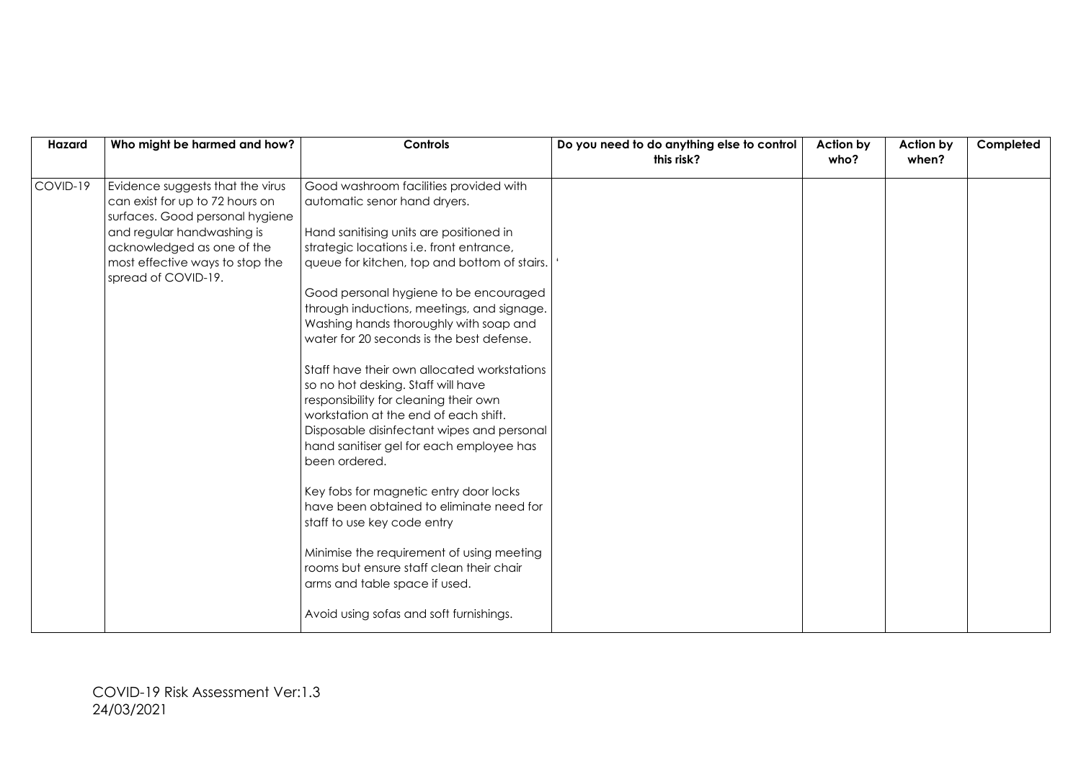| Hazard   | Who might be harmed and how?                                                                                                                                                                                                 | Controls                                                                                                                                                                                                                                                                                                                                                                                                                                                                                                                                                                                                                                                                                                                                                                                                                                                                                                                                                                 | Do you need to do anything else to control | <b>Action by</b> | Action by | Completed |
|----------|------------------------------------------------------------------------------------------------------------------------------------------------------------------------------------------------------------------------------|--------------------------------------------------------------------------------------------------------------------------------------------------------------------------------------------------------------------------------------------------------------------------------------------------------------------------------------------------------------------------------------------------------------------------------------------------------------------------------------------------------------------------------------------------------------------------------------------------------------------------------------------------------------------------------------------------------------------------------------------------------------------------------------------------------------------------------------------------------------------------------------------------------------------------------------------------------------------------|--------------------------------------------|------------------|-----------|-----------|
|          |                                                                                                                                                                                                                              |                                                                                                                                                                                                                                                                                                                                                                                                                                                                                                                                                                                                                                                                                                                                                                                                                                                                                                                                                                          | this risk?                                 | who?             | when?     |           |
| COVID-19 | Evidence suggests that the virus<br>can exist for up to 72 hours on<br>surfaces. Good personal hygiene<br>and regular handwashing is<br>acknowledged as one of the<br>most effective ways to stop the<br>spread of COVID-19. | Good washroom facilities provided with<br>automatic senor hand dryers.<br>Hand sanitising units are positioned in<br>strategic locations i.e. front entrance,<br>queue for kitchen, top and bottom of stairs.<br>Good personal hygiene to be encouraged<br>through inductions, meetings, and signage.<br>Washing hands thoroughly with soap and<br>water for 20 seconds is the best defense.<br>Staff have their own allocated workstations<br>so no hot desking. Staff will have<br>responsibility for cleaning their own<br>workstation at the end of each shift.<br>Disposable disinfectant wipes and personal<br>hand sanitiser gel for each employee has<br>been ordered.<br>Key fobs for magnetic entry door locks<br>have been obtained to eliminate need for<br>staff to use key code entry<br>Minimise the requirement of using meeting<br>rooms but ensure staff clean their chair<br>arms and table space if used.<br>Avoid using sofas and soft furnishings. |                                            |                  |           |           |
|          |                                                                                                                                                                                                                              |                                                                                                                                                                                                                                                                                                                                                                                                                                                                                                                                                                                                                                                                                                                                                                                                                                                                                                                                                                          |                                            |                  |           |           |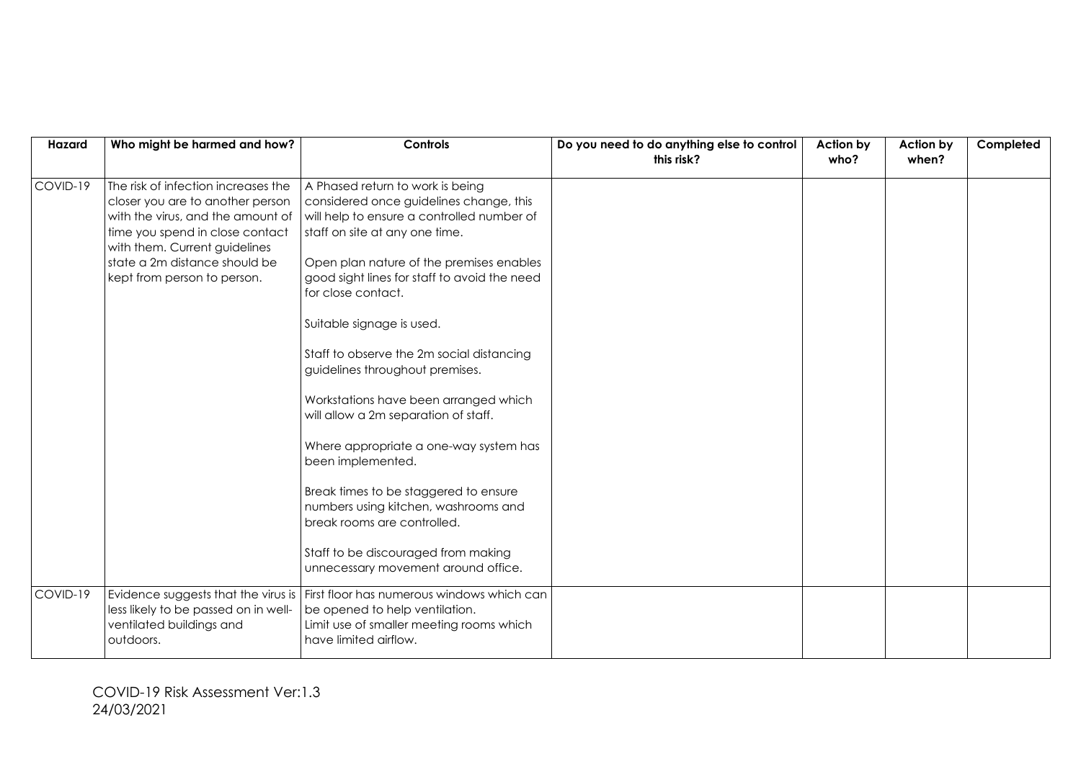| Hazard   | Who might be harmed and how?                                                                                                                                                                                                                     | Controls                                                                                                                                                                                                                                                                                                                                                                                                                                                                                                                                                                                                                                                                                          | Do you need to do anything else to control | Action by | Action by | Completed |
|----------|--------------------------------------------------------------------------------------------------------------------------------------------------------------------------------------------------------------------------------------------------|---------------------------------------------------------------------------------------------------------------------------------------------------------------------------------------------------------------------------------------------------------------------------------------------------------------------------------------------------------------------------------------------------------------------------------------------------------------------------------------------------------------------------------------------------------------------------------------------------------------------------------------------------------------------------------------------------|--------------------------------------------|-----------|-----------|-----------|
|          |                                                                                                                                                                                                                                                  |                                                                                                                                                                                                                                                                                                                                                                                                                                                                                                                                                                                                                                                                                                   | this risk?                                 | who?      | when?     |           |
| COVID-19 | The risk of infection increases the<br>closer you are to another person<br>with the virus, and the amount of<br>time you spend in close contact<br>with them. Current guidelines<br>state a 2m distance should be<br>kept from person to person. | A Phased return to work is being<br>considered once guidelines change, this<br>will help to ensure a controlled number of<br>staff on site at any one time.<br>Open plan nature of the premises enables<br>good sight lines for staff to avoid the need<br>for close contact.<br>Suitable signage is used.<br>Staff to observe the 2m social distancing<br>guidelines throughout premises.<br>Workstations have been arranged which<br>will allow a 2m separation of staff.<br>Where appropriate a one-way system has<br>been implemented.<br>Break times to be staggered to ensure<br>numbers using kitchen, washrooms and<br>break rooms are controlled.<br>Staff to be discouraged from making |                                            |           |           |           |
|          |                                                                                                                                                                                                                                                  | unnecessary movement around office.                                                                                                                                                                                                                                                                                                                                                                                                                                                                                                                                                                                                                                                               |                                            |           |           |           |
| COVID-19 | Evidence suggests that the virus is<br>less likely to be passed on in well-<br>ventilated buildings and<br>outdoors.                                                                                                                             | First floor has numerous windows which can<br>be opened to help ventilation.<br>Limit use of smaller meeting rooms which<br>have limited airflow.                                                                                                                                                                                                                                                                                                                                                                                                                                                                                                                                                 |                                            |           |           |           |